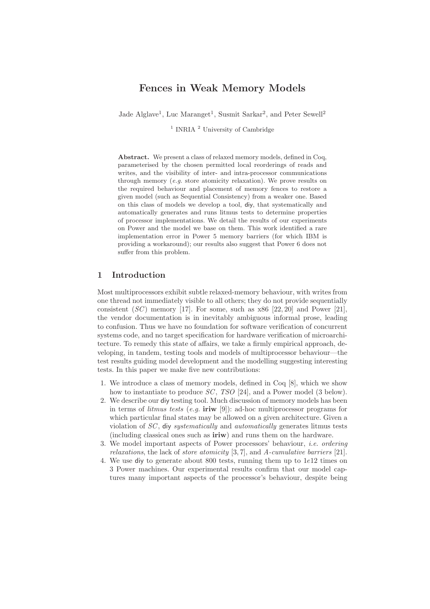# Fences in Weak Memory Models

Jade Alglave<sup>1</sup>, Luc Maranget<sup>1</sup>, Susmit Sarkar<sup>2</sup>, and Peter Sewell<sup>2</sup>

<sup>1</sup> INRIA<sup>2</sup> University of Cambridge

Abstract. We present a class of relaxed memory models, defined in Coq, parameterised by the chosen permitted local reorderings of reads and writes, and the visibility of inter- and intra-processor communications through memory (e.g. store atomicity relaxation). We prove results on the required behaviour and placement of memory fences to restore a given model (such as Sequential Consistency) from a weaker one. Based on this class of models we develop a tool, diy, that systematically and automatically generates and runs litmus tests to determine properties of processor implementations. We detail the results of our experiments on Power and the model we base on them. This work identified a rare implementation error in Power 5 memory barriers (for which IBM is providing a workaround); our results also suggest that Power 6 does not suffer from this problem.

# 1 Introduction

Most multiprocessors exhibit subtle relaxed-memory behaviour, with writes from one thread not immediately visible to all others; they do not provide sequentially consistent  $(SC)$  memory [17]. For some, such as  $x86$  [22, 20] and Power [21], the vendor documentation is in inevitably ambiguous informal prose, leading to confusion. Thus we have no foundation for software verification of concurrent systems code, and no target specification for hardware verification of microarchitecture. To remedy this state of affairs, we take a firmly empirical approach, developing, in tandem, testing tools and models of multiprocessor behaviour—the test results guiding model development and the modelling suggesting interesting tests. In this paper we make five new contributions:

- 1. We introduce a class of memory models, defined in Coq [8], which we show how to instantiate to produce SC, TSO [24], and a Power model (3 below).
- 2. We describe our diy testing tool. Much discussion of memory models has been in terms of *litmus tests* (*e.g.* iriw [9]): ad-hoc multiprocessor programs for which particular final states may be allowed on a given architecture. Given a violation of SC , diy systematically and automatically generates litmus tests (including classical ones such as **iriw**) and runs them on the hardware.
- 3. We model important aspects of Power processors' behaviour, i.e. ordering relaxations, the lack of store atomicity [3, 7], and A-cumulative barriers [21].
- 4. We use diy to generate about 800 tests, running them up to 1e12 times on 3 Power machines. Our experimental results confirm that our model captures many important aspects of the processor's behaviour, despite being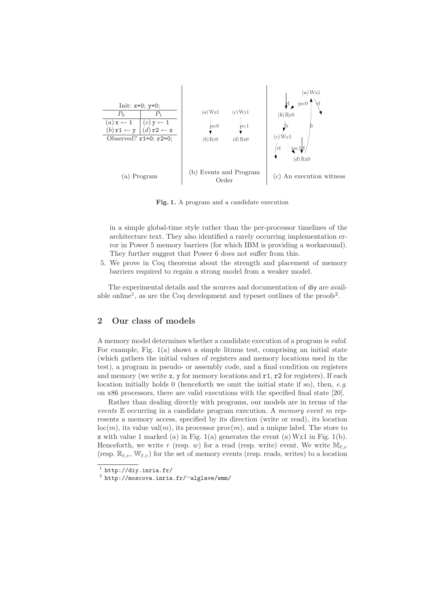

Fig. 1. A program and a candidate execution

in a simple global-time style rather than the per-processor timelines of the architecture text. They also identified a rarely occurring implementation error in Power 5 memory barriers (for which IBM is providing a workaround). They further suggest that Power 6 does not suffer from this.

5. We prove in Coq theorems about the strength and placement of memory barriers required to regain a strong model from a weaker model.

The experimental details and the sources and documentation of diy are available online<sup>1</sup>, as are the Coq development and typeset outlines of the proofs<sup>2</sup>.

# 2 Our class of models

A memory model determines whether a candidate execution of a program is valid. For example, Fig. 1(a) shows a simple litmus test, comprising an initial state (which gathers the initial values of registers and memory locations used in the test), a program in pseudo- or assembly code, and a final condition on registers and memory (we write  $x$ ,  $y$  for memory locations and  $r1$ ,  $r2$  for registers). If each location initially holds 0 (henceforth we omit the initial state if so), then, e.g. on x86 processors, there are valid executions with the specified final state [20].

Rather than dealing directly with programs, our models are in terms of the events  $E$  occurring in a candidate program execution. A memory event m represents a memory access, specified by its direction (write or read), its location  $\text{loc}(m)$ , its value val $(m)$ , its processor proc $(m)$ , and a unique label. The store to x with value 1 marked  $(a)$  in Fig. 1(a) generates the event  $(a)$  Wx1 in Fig. 1(b). Henceforth, we write r (resp. w) for a read (resp. write) event. We write  $\mathbb{M}_{\ell,\nu}$ (resp.  $\mathbb{R}_{\ell,v}$ ,  $\mathbb{W}_{\ell,v}$ ) for the set of memory events (resp. reads, writes) to a location

 $^1$  http://diy.inria.fr/

 $^2$  http://moscova.inria.fr/~alglave/wmm/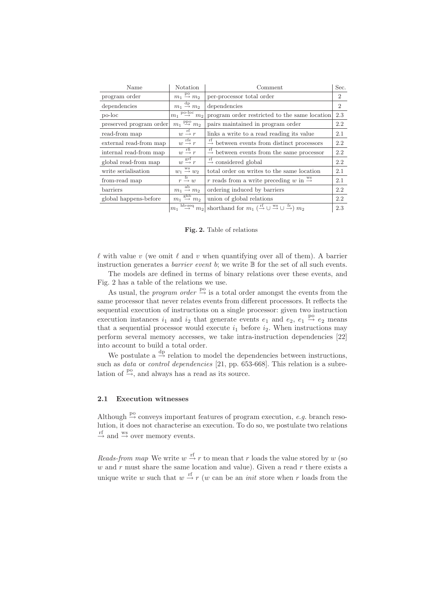| Name                    | Notation                                                          | Comment                                                                                                               |                |
|-------------------------|-------------------------------------------------------------------|-----------------------------------------------------------------------------------------------------------------------|----------------|
| program order           | $m_1 \stackrel{\text{po}}{\rightarrow} m_2$                       | per-processor total order                                                                                             |                |
| dependencies            | $m_1 \stackrel{\text{dp}}{\rightarrow} m_2$                       | dependencies                                                                                                          | $\overline{2}$ |
| po-loc                  | $\overline{m_1 \stackrel{\text{po-loc}}{\rightarrow} m_2}$        | program order restricted to the same location                                                                         | 2.3            |
| preserved program order | $m_1 \stackrel{\text{ppo}}{\rightarrow} m_2$                      | pairs maintained in program order                                                                                     | 2.2            |
| read-from map           | $w \stackrel{\text{rf}}{\rightarrow} r$                           | links a write to a read reading its value                                                                             | 2.1            |
| external read-from map  | $w \stackrel{\text{rfe}}{\rightarrow} r$                          | $\stackrel{11}{\rightarrow}$ between events from distinct processors                                                  | 2.2            |
| internal read-from map  | $w \stackrel{\text{rfi}}{\rightarrow} r$                          | $\stackrel{\text{rf}}{\rightarrow}$ between events from the same processor                                            | 2.2            |
| global read-from map    | $w \stackrel{\text{grf}}{\rightarrow} r$                          | $\stackrel{\text{rf}}{\rightarrow}$ considered global                                                                 | 2.2            |
| write serialisation     | $w_1 \stackrel{\text{ws}}{\rightarrow} w_2$                       | total order on writes to the same location                                                                            | 2.1            |
| from-read map           | $r \stackrel{\mathrm{fr}}{\rightarrow} w$                         | r reads from a write preceding w in $\stackrel{\text{ws}}{\rightarrow}$                                               | 2.1            |
| barriers                | $m_1 \stackrel{\text{ab}}{\rightarrow} m_2$                       | ordering induced by barriers                                                                                          |                |
| global happens-before   | $m_1 \stackrel{\text{ghb}}{\rightarrow} m_2$                      | union of global relations                                                                                             | 2.2            |
|                         | $h$ b-seq<br>$\stackrel{\sim}{\rightarrow} m_2$<br>m <sub>1</sub> | shorthand for $m_1$ ( $\xrightarrow{\text{rf}}$ $\cup \xrightarrow{\text{ws}}$ $\cup \xrightarrow{\text{fr}}$ ) $m_2$ | 2.3            |

Fig. 2. Table of relations

 $\ell$  with value v (we omit  $\ell$  and v when quantifying over all of them). A barrier instruction generates a *barrier event b*; we write  $\mathbb B$  for the set of all such events.

The models are defined in terms of binary relations over these events, and Fig. 2 has a table of the relations we use.

As usual, the *program order*  $\stackrel{\text{po}}{\rightarrow}$  is a total order amongst the events from the same processor that never relates events from different processors. It reflects the sequential execution of instructions on a single processor: given two instruction execution instances  $i_1$  and  $i_2$  that generate events  $e_1$  and  $e_2$ ,  $e_1 \stackrel{\text{po}}{\rightarrow} e_2$  means that a sequential processor would execute  $i_1$  before  $i_2$ . When instructions may perform several memory accesses, we take intra-instruction dependencies [22] into account to build a total order.

We postulate a  $\stackrel{\text{dp}}{\rightarrow}$  relation to model the dependencies between instructions, such as *data* or *control dependencies* [21, pp. 653-668]. This relation is a subrelation of  $\stackrel{\text{po}}{\rightarrow}$ , and always has a read as its source.

### 2.1 Execution witnesses

Although  $\stackrel{\text{po}}{\rightarrow}$  conveys important features of program execution, e.g. branch resolution, it does not characterise an execution. To do so, we postulate two relations  $\stackrel{\text{rf}}{\rightarrow}$  and  $\stackrel{\text{ws}}{\rightarrow}$  over memory events.

*Reads-from map* We write  $w \stackrel{\text{rf}}{\rightarrow} r$  to mean that r loads the value stored by w (so  $w$  and  $r$  must share the same location and value). Given a read  $r$  there exists a unique write w such that  $w \stackrel{\text{rf}}{\rightarrow} r$  (w can be an *init* store when r loads from the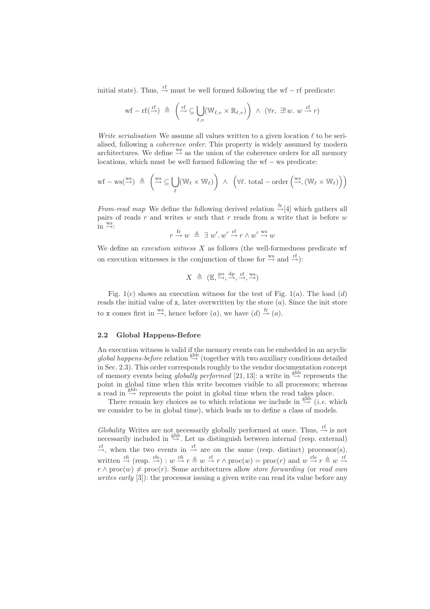initial state). Thus,  $\stackrel{rf}{\rightarrow}$  must be well formed following the wf – rf predicate:

$$
\text{wf }-\text{rf}(\stackrel{\text{rf}}{\rightarrow}) \triangleq \left(\stackrel{\text{rf}}{\rightarrow}\subseteq\bigcup_{\ell,v}(\mathbb{W}_{\ell,v}\times\mathbb{R}_{\ell,v})\right) \ \wedge \ (\forall r, \ \exists! \ w. \ w \stackrel{\text{rf}}{\rightarrow}r)
$$

Write serialisation We assume all values written to a given location  $\ell$  to be serialised, following a coherence order. This property is widely assumed by modern architectures. We define  $\stackrel{ws}{\rightarrow}$  as the union of the coherence orders for all memory locations, which must be well formed following the wf − ws predicate:

$$
\mathrm{wf} - \mathrm{ws}(\stackrel{\mathrm{ws}}{\rightarrow}) \triangleq \left( \stackrel{\mathrm{ws}}{\rightarrow} \subseteq \bigcup_{\ell} (\mathbb{W}_{\ell} \times \mathbb{W}_{\ell}) \right) \ \wedge \ \left( \forall \ell. \ \mathrm{total} - \mathrm{order} \left( \stackrel{\mathrm{ws}}{\rightarrow}, (\mathbb{W}_{\ell} \times \mathbb{W}_{\ell}) \right) \right)
$$

From-read map We define the following derived relation  $\frac{f}{f}$ [4] which gathers all pairs of reads r and writes w such that r reads from a write that is before  $w$  $\text{in} \overset{\text{ws}}{\rightarrow}$ :

$$
r \stackrel{\mathrm{fr}}{\rightarrow} w \stackrel{\mathrm{\Delta}}{\phantom{\rightarrow}} \exists w'.w' \stackrel{\mathrm{rf}}{\rightarrow} r \wedge w' \stackrel{\mathrm{ws}}{\rightarrow} w
$$

We define an *execution witness*  $X$  as follows (the well-formedness predicate wf on execution witnesses is the conjunction of those for  $\frac{ws}{\rightarrow}$  and  $\frac{rf}{\rightarrow}$ ):

$$
X \triangleq (\mathbb{E}, \xrightarrow{\text{po}}, \xrightarrow{\text{dp}}, \xrightarrow{\text{rf}}, \xrightarrow{\text{ws}})
$$

Fig. 1(c) shows an execution witness for the test of Fig. 1(a). The load  $(d)$ reads the initial value of  $x$ , later overwritten by the store  $(a)$ . Since the init store to x comes first in  $\stackrel{\text{ws}}{\rightarrow}$ , hence before  $(a)$ , we have  $(d) \stackrel{\text{fr}}{\rightarrow} (a)$ .

#### 2.2 Global Happens-Before

An execution witness is valid if the memory events can be embedded in an acyclic global happens-before relation  $\stackrel{\text{ghb}}{\rightarrow}$  (together with two auxiliary conditions detailed in Sec. 2.3). This order corresponds roughly to the vendor documentation concept of memory events being globally performed [21, 13]: a write in  $\xrightarrow{\text{ghb}}$  represents the point in global time when this write becomes visible to all processors; whereas a read in  $\stackrel{\text{ghb}}{\rightarrow}$  represents the point in global time when the read takes place.

There remain key choices as to which relations we include in  $\xrightarrow{ghb}$  (*i.e.* which we consider to be in global time), which leads us to define a class of models.

Globality Writes are not necessarily globally performed at once. Thus,  $\stackrel{\text{rf}}{\rightarrow}$  is not necessarily included in  $\xrightarrow{ghb}$ . Let us distinguish between internal (resp. external)  $r_f$ , when the two events in  $r_f$  are on the same (resp. distinct) processor(s), written  $\stackrel{\text{rfi}}{\rightarrow}$  (resp.  $\stackrel{\text{rfe}}{\rightarrow}$ ) :  $w \stackrel{\text{rfi}}{\rightarrow} r \stackrel{\Delta}{=} w \stackrel{\text{rf}}{\rightarrow} r \wedge \text{proc}(w) = \text{proc}(r)$  and  $w \stackrel{\text{rfe}}{\rightarrow} r \stackrel{\Delta}{=} w \stackrel{\text{rf}}{\rightarrow} r$  $r \wedge \text{proc}(w) \neq \text{proc}(r)$ . Some architectures allow store forwarding (or read own writes early [3]): the processor issuing a given write can read its value before any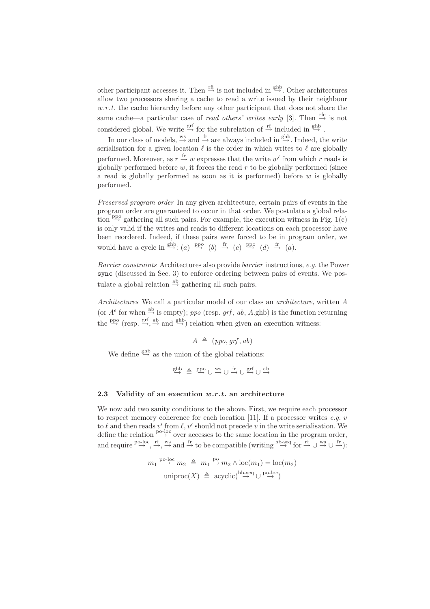other participant accesses it. Then  $\stackrel{\text{rfi}}{\rightarrow}$  is not included in  $\stackrel{\text{ghb}}{\rightarrow}$ . Other architectures allow two processors sharing a cache to read a write issued by their neighbour  $w.r.t.$  the cache hierarchy before any other participant that does not share the same cache—a particular case of *read others' writes early* [3]. Then  $\stackrel{\text{refe}}{\rightarrow}$  is not considered global. We write  $\stackrel{\text{grf}}{\rightarrow}$  for the subrelation of  $\stackrel{\text{rf}}{\rightarrow}$  included in  $\stackrel{\text{ghb}}{\rightarrow}$ .

In our class of models,  $\stackrel{\text{ws}}{\rightarrow}$  and  $\stackrel{\text{fr}}{\rightarrow}$  are always included in  $\stackrel{\text{ghb}}{\rightarrow}$ . Indeed, the write serialisation for a given location  $\ell$  is the order in which writes to  $\ell$  are globally performed. Moreover, as  $r \stackrel{\text{fr}}{\rightarrow} w$  expresses that the write w' from which r reads is globally performed before  $w$ , it forces the read  $r$  to be globally performed (since a read is globally performed as soon as it is performed) before  $w$  is globally performed.

Preserved program order In any given architecture, certain pairs of events in the program order are guaranteed to occur in that order. We postulate a global relation  $\stackrel{\text{ppo}}{\rightarrow}$  gathering all such pairs. For example, the execution witness in Fig. 1(c) is only valid if the writes and reads to different locations on each processor have been reordered. Indeed, if these pairs were forced to be in program order, we would have a cycle in  $\xrightarrow{ghb} (a) \xrightarrow{ppo} (b) \xrightarrow{fr} (c) \xrightarrow{ppo} (d) \xrightarrow{fr} (a)$ .

Barrier constraints Architectures also provide barrier instructions, e.g. the Power sync (discussed in Sec. 3) to enforce ordering between pairs of events. We postulate a global relation  $\stackrel{ab}{\rightarrow}$  gathering all such pairs.

Architectures We call a particular model of our class an architecture, written A (or  $A^{\epsilon}$  for when  $\stackrel{\text{ab}}{\rightarrow}$  is empty); ppo (resp. grf, ab, A.ghb) is the function returning the  $\stackrel{\text{ppo}}{\rightarrow}$  (resp.  $\stackrel{\text{grf}}{\rightarrow}$ ,  $\stackrel{\text{ab}}{\rightarrow}$  and  $\stackrel{\text{ghb}}{\rightarrow}$ ) relation when given an execution witness:

$$
A \triangleq (ppo, grf, ab)
$$

We define  $\stackrel{\text{ghb}}{\rightarrow}$  as the union of the global relations:

$$
\overset{ghb}\rightarrow \ \overset{\Delta}\equiv \ \overset{ppo}\rightarrow \ \cup \ \overset{ws}\rightarrow \ \cup \ \overset{fr}\rightarrow \ \cup \ \overset{grf}\rightarrow \ \cup \ \overset{ab}\rightarrow
$$

### 2.3 Validity of an execution  $w.r.t.$  an architecture

We now add two sanity conditions to the above. First, we require each processor to respect memory coherence for each location [11]. If a processor writes  $e.a. v$ to  $\ell$  and then reads  $v'$  from  $\ell$ ,  $v'$  should not precede  $v$  in the write serialisation. We define the relation  $\stackrel{\text{p-loc}}{\rightarrow}$  over accesses to the same location in the program order, and require  $\stackrel{\text{po-loc}}{\rightarrow}$ ,  $\stackrel{\text{rf}}{\rightarrow}$   $\stackrel{\text{ws}}{\rightarrow}$  and  $\stackrel{\text{fr}}{\rightarrow}$  to be compatible (writing  $\stackrel{\text{hb-seq}}{\rightarrow}$  for  $\stackrel{\text{rf}}{\rightarrow}$   $\cup \stackrel{\text{ws}}{\rightarrow}$ ):

$$
m_1 \stackrel{\text{po-loc}}{\rightarrow} m_2 \triangleq m_1 \stackrel{\text{po}}{\rightarrow} m_2 \wedge \text{loc}(m_1) = \text{loc}(m_2)
$$
  
uniproc $(X) \triangleq \text{acyclic} \stackrel{\text{hb-seq}}{\rightarrow} \cup \stackrel{\text{po-loc}}{\rightarrow}$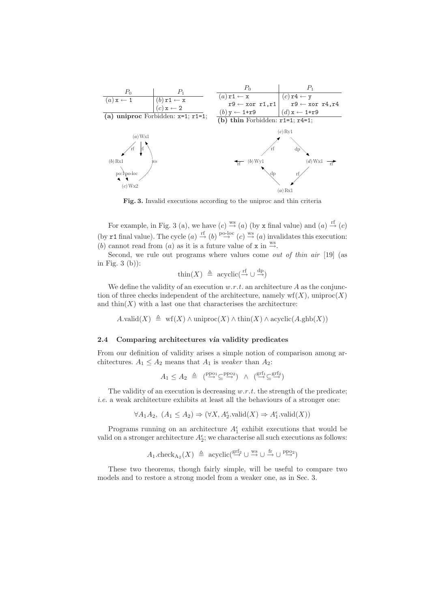

Fig. 3. Invalid executions according to the uniproc and thin criteria

For example, in Fig. 3 (a), we have  $(c) \stackrel{\text{ws}}{\rightarrow} (a)$  (by x final value) and  $(a) \stackrel{\text{rf}}{\rightarrow} (c)$ (by r1 final value). The cycle  $(a) \stackrel{\text{rf}}{\rightarrow} (b) \stackrel{\text{po-loc}}{\rightarrow} (c) \stackrel{\text{ws}}{\rightarrow} (a)$  invalidates this execution: (b) cannot read from (a) as it is a future value of x in  $\stackrel{ws}{\rightarrow}$ .

Second, we rule out programs where values come *out of thin air* [19] (as in Fig. 3 (b)):

$$
\text{thin}(X) \triangleq \text{acyclic}(\stackrel{\text{rf}}{\rightarrow} \cup \stackrel{\text{dp}}{\rightarrow})
$$

We define the validity of an execution  $w.r.t.$  an architecture A as the conjunction of three checks independent of the architecture, namely  $\text{wf}(X)$ , uniproc $(X)$ and  $\text{thin}(X)$  with a last one that characterises the architecture:

A.valid $(X) \triangleq \text{wf}(X) \wedge \text{uniproc}(X) \wedge \text{thin}(X) \wedge \text{acyclic}(A.\text{ghb}(X))$ 

#### 2.4 Comparing architectures via validity predicates

From our definition of validity arises a simple notion of comparison among architectures.  $A_1 \leq A_2$  means that  $A_1$  is *weaker* than  $A_2$ :

$$
A_1 \leq A_2 \triangleq (\overset{\text{ppo}_1}{\rightarrow} \overset{\text{ppo}_2}{\rightarrow}) \land (\overset{\text{grf}_1}{\rightarrow} \overset{\text{grf}_2}{\rightarrow})
$$

The validity of an execution is decreasing  $w.r.t.$  the strength of the predicate;  $i.e.$  a weak architecture exhibits at least all the behaviours of a stronger one:

 $\forall A_1 A_2, (A_1 \leq A_2) \Rightarrow (\forall X, A_2^{\epsilon}.\text{valid}(X) \Rightarrow A_1^{\epsilon}.\text{valid}(X))$ 

Programs running on an architecture  $A_1^{\epsilon}$  exhibit executions that would be valid on a stronger architecture  $A_2^{\epsilon}$ ; we characterise all such executions as follows:

$$
A_1.\mathrm{check}_{A_2}(X) \triangleq \mathrm{acyclic}(\overset{\mathrm{grf}_2}{\rightarrow} \cup \overset{\mathrm{ws}}{\rightarrow} \cup \overset{\mathrm{fr}}{\rightarrow} \cup \overset{\mathrm{ppo}_2}{\rightarrow})
$$

These two theorems, though fairly simple, will be useful to compare two models and to restore a strong model from a weaker one, as in Sec. 3.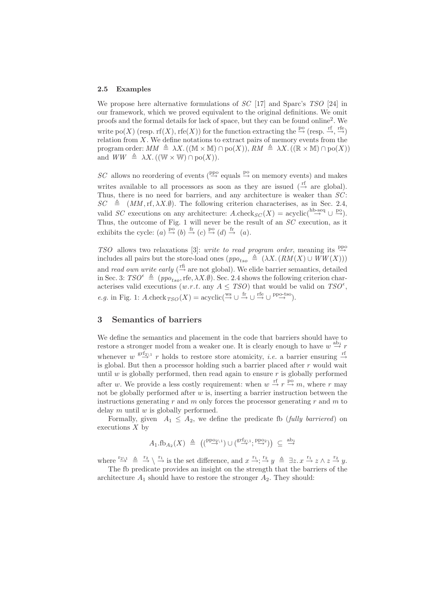#### 2.5 Examples

We propose here alternative formulations of  $SC$  [17] and Sparc's TSO [24] in our framework, which we proved equivalent to the original definitions. We omit proofs and the formal details for lack of space, but they can be found online<sup>2</sup> . We write  $\text{po}(X)$  (resp. rf $(X)$ , rfe $(X)$ ) for the function extracting the  $\stackrel{\text{po}}{\rightarrow}$  (resp.  $\stackrel{\text{rf}}{\rightarrow}$ ,  $\stackrel{\text{ref}}{\rightarrow}$ ) relation from  $X$ . We define notations to extract pairs of memory events from the program order:  $MM \triangleq \lambda X$ . ((M × M)  $\cap$  po(X)),  $RM \triangleq \lambda X$ . ((R × M)  $\cap$  po(X)) and  $WW \triangleq \lambda X$ . ((W  $\times$  W)  $\cap$  po(X)).

SC allows no reordering of events ( $\frac{ppo}{\rightarrow}$  equals  $\frac{po}{\rightarrow}$  on memory events) and makes writes available to all processors as soon as they are issued  $(\stackrel{\text{ff}}{\rightarrow}$  are global). Thus, there is no need for barriers, and any architecture is weaker than  $SC$ :  $SC \triangleq (MM, rf, \lambda X.\emptyset)$ . The following criterion characterises, as in Sec. 2.4, valid SC executions on any architecture: A.check<sub>SC</sub>(X) = acyclic(<sup>hb-seq</sup>  $\cup$   $\stackrel{\text{po}}{\rightarrow}$ ). Thus, the outcome of Fig. 1 will never be the result of an SC execution, as it exhibits the cycle:  $(a) \stackrel{\text{po}}{\rightarrow} (b) \stackrel{\text{fr}}{\rightarrow} (c) \stackrel{\text{po}}{\rightarrow} (d) \stackrel{\text{fr}}{\rightarrow} (a)$ .

TSO allows two relaxations [3]: write to read program order, meaning its  $\stackrel{\text{ppo}}{\rightarrow}$ includes all pairs but the store-load ones  $(ppo<sub>tso</sub> \triangleq (\lambda X.(RM(X) \cup WW(X)))$ and *read own write early* ( $\stackrel{\text{rfi}}{\rightarrow}$  are not global). We elide barrier semantics, detailed in Sec. 3:  $TSO^{\epsilon} \triangleq (ppo_{tso},\text{rfe}, \lambda X.\emptyset)$ . Sec. 2.4 shows the following criterion characterises valid executions  $(w.r.t.$  any  $A \leq TSO)$  that would be valid on  $TSO^{\epsilon}$ , e.g. in Fig. 1: A.check<sub>TSO</sub>  $(X) = \mathrm{acyclic}(\overset{\text{ws}}{\rightarrow} \cup \overset{\text{fr}}{\rightarrow} \cup \overset{\text{rfe}}{\rightarrow} \cup \overset{\text{ppo-tso}}{\rightarrow}).$ 

# 3 Semantics of barriers

We define the semantics and placement in the code that barriers should have to restore a stronger model from a weaker one. It is clearly enough to have  $w \stackrel{\text{ab}_1}{\rightarrow} r$ whenever  $w \stackrel{\text{grf}_2\backslash 1}{\longrightarrow} r$  holds to restore store atomicity, *i.e.* a barrier ensuring  $\stackrel{\text{ref}}{\rightarrow}$ is global. But then a processor holding such a barrier placed after r would wait until w is globally performed, then read again to ensure  $r$  is globally performed after w. We provide a less costly requirement: when  $w \stackrel{\text{rf}}{\rightarrow} r \stackrel{\text{po}}{\rightarrow} m$ , where r may not be globally performed after  $w$  is, inserting a barrier instruction between the instructions generating r and m only forces the processor generating r and m to delay  $m$  until  $w$  is globally performed.

Formally, given  $A_1 \leq A_2$ , we define the predicate fb (fully barriered) on executions  $X$  by

$$
A_1 \cdot \text{fb}_{A_2}(X) \triangleq ((\overset{\text{ppo}_2}{\rightarrow} \overset{\text{i}}{\rightarrow}) \cup (\overset{\text{grf}_2}{\rightarrow} \overset{\text{i}}{\rightarrow}, \overset{\text{ppo}_2}{\rightarrow})) \subseteq \overset{\text{ab}_1}{\rightarrow}
$$

where  $\frac{r_{2\lambda_1}}{\rightarrow} \stackrel{\Delta}{\rightarrow} \frac{r_2}{\rightarrow}$  is the set difference, and  $x \stackrel{r_1}{\rightarrow} \frac{r_2}{\rightarrow} y \stackrel{\Delta}{\rightarrow} \exists z. x \stackrel{r_1}{\rightarrow} z \land z \stackrel{r_2}{\rightarrow} y$ . The fb predicate provides an insight on the strength that the barriers of the

architecture  $A_1$  should have to restore the stronger  $A_2$ . They should: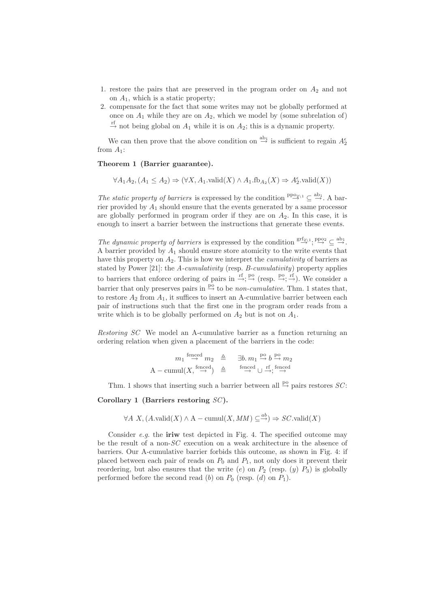- 1. restore the pairs that are preserved in the program order on  $A_2$  and not on  $A_1$ , which is a static property;
- 2. compensate for the fact that some writes may not be globally performed at once on  $A_1$  while they are on  $A_2$ , which we model by (some subrelation of)  $\stackrel{\text{rf}}{\rightarrow}$  not being global on  $A_1$  while it is on  $A_2$ ; this is a dynamic property.

We can then prove that the above condition on  $\stackrel{\text{ab}_1}{\rightarrow}$  is sufficient to regain  $A_2^{\epsilon}$ from  $A_1$ :

### Theorem 1 (Barrier guarantee).

 $\forall A_1 A_2, (A_1 \leq A_2) \Rightarrow (\forall X, A_1.\text{valid}(X) \land A_1.\text{fb}_{A_2}(X) \Rightarrow A_2^{\epsilon}.\text{valid}(X))$ 

The static property of barriers is expressed by the condition  $\mathbb{P}^{\text{po}_{2}\setminus 1} \subseteq \stackrel{\text{ab}_1}{\to}$ . A barrier provided by  $A_1$  should ensure that the events generated by a same processor are globally performed in program order if they are on  $A_2$ . In this case, it is enough to insert a barrier between the instructions that generate these events.

The dynamic property of barriers is expressed by the condition  $\mathbb{S}^{\text{rf}_{2\setminus 1}}$ ;  $\mathbb{P}^{\text{po}_2} \subseteq \mathbb{S}^{\text{b}_1}$ . A barrier provided by  $A_1$  should ensure store atomicity to the write events that have this property on  $A_2$ . This is how we interpret the *cumulativity* of barriers as stated by Power [21]: the A-cumulativity (resp. B-cumulativity) property applies to barriers that enforce ordering of pairs in  $\stackrel{\text{rf}}{\rightarrow}$ ;  $\stackrel{\text{po}}{\rightarrow}$  (resp.  $\stackrel{\text{po}}{\rightarrow}$ ;  $\stackrel{\text{rf}}{\rightarrow}$ ). We consider a barrier that only preserves pairs in  $\stackrel{\text{po}}{\rightarrow}$  to be *non-cumulative*. Thm. 1 states that, to restore  $A_2$  from  $A_1$ , it suffices to insert an A-cumulative barrier between each pair of instructions such that the first one in the program order reads from a write which is to be globally performed on  $A_2$  but is not on  $A_1$ .

Restoring SC We model an A-cumulative barrier as a function returning an ordering relation when given a placement of the barriers in the code:

$$
m_1 \stackrel{\text{fenced}}{\rightarrow} m_2 \stackrel{\triangle}{=} \exists b. m_1 \stackrel{\text{po}}{\rightarrow} b \stackrel{\text{po}}{\rightarrow} m_2
$$
  
A – cumul $(X, \stackrel{\text{fenced}}{\rightarrow}) \stackrel{\triangle}{=} \stackrel{\text{fenced}}{\rightarrow} \bigcup_{i=1}^{i \text{fenced}}$ 

Thm. 1 shows that inserting such a barrier between all  $\stackrel{po}{\rightarrow}$  pairs restores SC:

Corollary 1 (Barriers restoring  $SC$ ).

$$
\forall A \ X, (A.\text{valid}(X) \land A-\text{cumul}(X,MM) \subseteq \xrightarrow{ab}) \Rightarrow SC.\text{valid}(X)
$$

Consider  $e.g.$  the iriw test depicted in Fig. 4. The specified outcome may be the result of a non-SC execution on a weak architecture in the absence of barriers. Our A-cumulative barrier forbids this outcome, as shown in Fig. 4: if placed between each pair of reads on  $P_0$  and  $P_1$ , not only does it prevent their reordering, but also ensures that the write  $(e)$  on  $P_2$  (resp.  $(y)$   $P_3$ ) is globally performed before the second read  $(b)$  on  $P_0$  (resp.  $(d)$  on  $P_1$ ).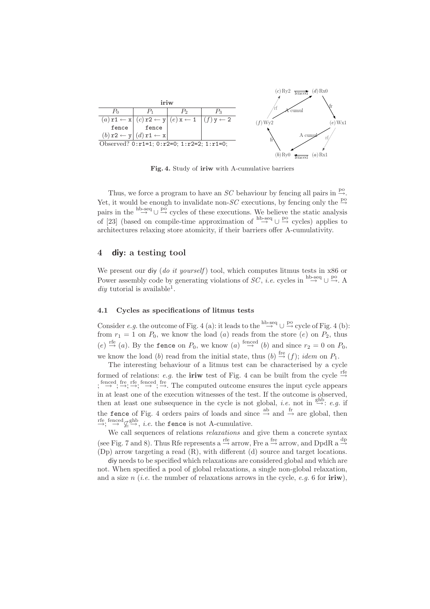

Fig. 4. Study of iriw with A-cumulative barriers

Thus, we force a program to have an SC behaviour by fencing all pairs in  $\stackrel{po}{\rightarrow}$ . Yet, it would be enough to invalidate non-SC executions, by fencing only the  $\stackrel{\text{po}}{\rightarrow}$ pairs in the  $\stackrel{\text{hb-seq}}{\rightarrow} \cup \stackrel{\text{po}}{\rightarrow}$  cycles of these executions. We believe the static analysis of [23] (based on compile-time approximation of  $\stackrel{\text{hb-seq}}{\rightarrow} \cup \stackrel{\text{po}}{\rightarrow}$  cycles) applies to architectures relaxing store atomicity, if their barriers offer A-cumulativity.

### 4 diy: a testing tool

We present our div (do it yourself) tool, which computes litmus tests in  $x86$  or Power assembly code by generating violations of  $SC$ , *i.e.* cycles in <sup>hb-seq</sup>  $\cup \stackrel{po}{\rightarrow} A$  $diy$  tutorial is available<sup>1</sup>.

#### 4.1 Cycles as specifications of litmus tests

Consider e.g. the outcome of Fig. 4 (a): it leads to the  $\stackrel{\text{hb-seq}}{\rightarrow} \cup \stackrel{\text{po}}{\rightarrow}$  cycle of Fig. 4 (b): from  $r_1 = 1$  on  $P_0$ , we know the load (a) reads from the store (e) on  $P_2$ , thus (e)  $\stackrel{\text{refe}}{\rightarrow}$  (a). By the fence on  $P_0$ , we know (a)  $\stackrel{\text{fenced}}{\rightarrow}$  (b) and since  $r_2 = 0$  on  $P_0$ , we know the load (b) read from the initial state, thus (b)  $\stackrel{\text{fre}}{\rightarrow} (f)$ ; *idem* on  $P_1$ .

The interesting behaviour of a litmus test can be characterised by a cycle formed of relations: e.g. the **iriw** test of Fig. 4 can be built from the cycle  $\stackrel{\text{refe}}{\rightarrow}$  $; \stackrel{\text{fenced}}{\rightarrow} ; \stackrel{\text{ref}}{\rightarrow} ; \stackrel{\text{fenced}}{\rightarrow} ; \stackrel{\text{frec}}{\rightarrow}$ . The computed outcome ensures the input cycle appears in at least one of the execution witnesses of the test. If the outcome is observed, then at least one subsequence in the cycle is not global, *i.e.* not in  $\xrightarrow{\text{ghb}} e.g.$  if the fence of Fig. 4 orders pairs of loads and since  $\stackrel{\text{ab}}{\rightarrow}$  and  $\stackrel{\text{fr}}{\rightarrow}$  are global, then  $\stackrel{\text{refe, fenced}}{\rightarrow} \mathcal{L}^{\text{ghb}}$ , *i.e.* the **fence** is not A-cumulative.

We call sequences of relations *relaxations* and give them a concrete syntax (see Fig. 7 and 8). Thus Rfe represents a  $\stackrel{\text{refe}}{\rightarrow}$  arrow, Fre a  $\stackrel{\text{free}}{\rightarrow}$  arrow, and DpdR a  $\stackrel{\text{dp}}{\rightarrow}$ (Dp) arrow targeting a read (R), with different (d) source and target locations.

diy needs to be specified which relaxations are considered global and which are not. When specified a pool of global relaxations, a single non-global relaxation, and a size  $n$  (*i.e.* the number of relaxations arrows in the cycle, *e.g.* 6 for  $iriw$ ),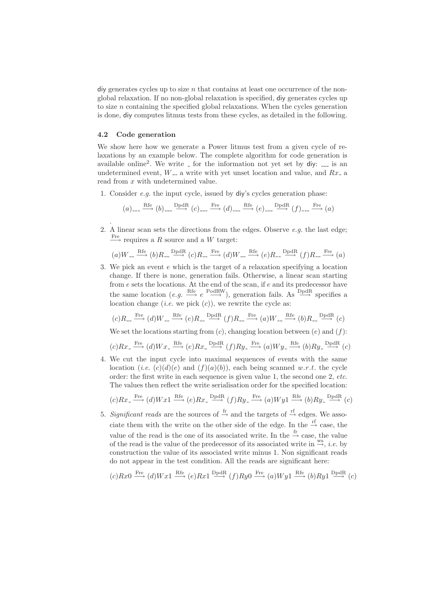$\frac{d}{dx}$  div generates cycles up to size n that contains at least one occurrence of the nonglobal relaxation. If no non-global relaxation is specified, diy generates cycles up to size  $n$  containing the specified global relaxations. When the cycles generation is done, diy computes litmus tests from these cycles, as detailed in the following.

#### 4.2 Code generation

.

We show here how we generate a Power litmus test from a given cycle of relaxations by an example below. The complete algorithm for code generation is available online<sup>2</sup>. We write  $\overline{\ }$  for the information not yet set by diy:  $\overline{\ }$  is an undetermined event,  $W_{-}$  a write with yet unset location and value, and  $Rx_{-}$  a read from x with undetermined value.

1. Consider e.g. the input cycle, issued by diy's cycles generation phase:

$$
(a)_{---} \xrightarrow{\text{Rfe}} (b)_{---} \xrightarrow{\text{DpdR}} (c)_{---} \xrightarrow{\text{Fre}} (d)_{---} \xrightarrow{\text{Rfe}} (e)_{---} \xrightarrow{\text{DpdR}} (f)_{---} \xrightarrow{\text{Fre}} (a)
$$

2. A linear scan sets the directions from the edges. Observe  $e.g.$  the last edge;  $\xrightarrow{\text{Fre}}$  requires a R source and a W target:

(a)W Rfe −→ (b)R DpdR −→ (c)R Fre −→ (d)W Rfe −→ (e)R DpdR −→ (f)R Fre −→ (a)

3. We pick an event e which is the target of a relaxation specifying a location change. If there is none, generation fails. Otherwise, a linear scan starting from e sets the locations. At the end of the scan, if e and its predecessor have the same location  $(e.g. \xrightarrow{\text{Ref}} e \xrightarrow{\text{PodRW}})$ , generation fails. As  $\xrightarrow{\text{DpdR}}$  specifies a location change (*i.e.* we pick  $(c)$ ), we rewrite the cycle as:

$$
(c)R_{--} \xrightarrow{\text{Free}} (d)W_{--} \xrightarrow{\text{Rfe}} (e)R_{--} \xrightarrow{\text{DpdR}} (f)R_{--} \xrightarrow{\text{Free}} (a)W_{--} \xrightarrow{\text{Rfe}} (b)R_{--} \xrightarrow{\text{DpdR}} (c)
$$

We set the locations starting from  $(c)$ , changing location between  $(e)$  and  $(f)$ :

$$
(c)Rx_{-} \xrightarrow{\text{Fre}} (d)Wx_{-} \xrightarrow{\text{Rfe}} (e)Rx_{-} \xrightarrow{\text{DpdR}} (f)Ry_{-} \xrightarrow{\text{Fre}} (a)Wy_{-} \xrightarrow{\text{Rfe}} (b)Ry_{-} \xrightarrow{\text{DpdR}} (c)
$$

4. We cut the input cycle into maximal sequences of events with the same location (*i.e.*  $(c)(d)(e)$  and  $(f)(a)(b)$ ), each being scanned w.r.t. the cycle order: the first write in each sequence is given value 1, the second one 2, etc. The values then reflect the write serialisation order for the specified location:

$$
(c)Rx \xrightarrow{\text{Fre}} (d)Wx1 \xrightarrow{\text{Re}} (e)Rx \xrightarrow{\text{DpdR}} (f)Ry \xrightarrow{\text{Fre}} (a)Wy1 \xrightarrow{\text{Re}} (b)Ry \xrightarrow{\text{DpdR}} (c)
$$

5. Significant reads are the sources of  $\stackrel{\text{fr}}{\rightarrow}$  and the targets of  $\stackrel{\text{rf}}{\rightarrow}$  edges. We associate them with the write on the other side of the edge. In the  $\stackrel{\text{rf}}{\rightarrow}$  case, the value of the read is the one of its associated write. In the  $\stackrel{\text{fr}}{\rightarrow}$  case, the value of the read is the value of the predecessor of its associated write in  $\stackrel{\text{ws}}{\rightarrow}$ , *i.e.* by construction the value of its associated write minus 1. Non significant reads do not appear in the test condition. All the reads are significant here:

$$
(c)Rx0 \xrightarrow{\text{Fre}} (d)Wx1 \xrightarrow{\text{Rfe}} (e)Rx1 \xrightarrow{\text{DpdR}} (f)Ry0 \xrightarrow{\text{Fre}} (a)Wy1 \xrightarrow{\text{Rfe}} (b)Ry1 \xrightarrow{\text{DpdR}} (c)
$$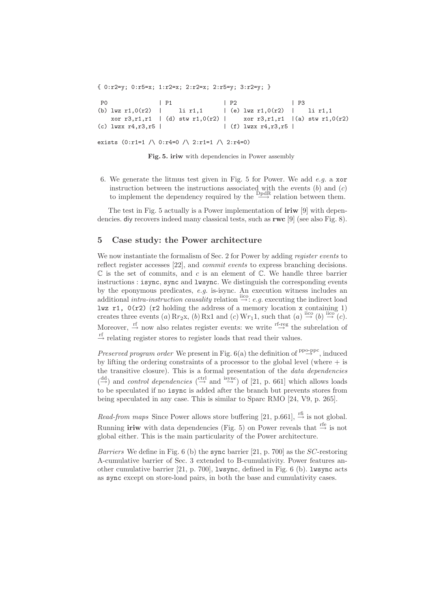{ 0:r2=y; 0:r5=x; 1:r2=x; 2:r2=x; 2:r5=y; 3:r2=y; } P0 | P1 | P2 | P3 (b)  $lwx$  r1,0(r2) | li r1,1 | (e)  $lwx$  r1,0(r2) | li r1,1 xor r3,r1,r1 | (d) stw r1,0(r2) | xor r3,r1,r1 |(a) stw r1,0(r2) (c)  $l$ wzx r4,r3,r5 |  $|$  (f)  $l$ wzx r4,r3,r5 |

exists  $(0:r1=1 / \cup 0:r4=0 / \cup 2:r1=1 / \cup 2:r4=0)$ 

Fig. 5. iriw with dependencies in Power assembly

6. We generate the litmus test given in Fig. 5 for Power. We add e.g. a xor instruction between the instructions associated with the events  $(b)$  and  $(c)$ to implement the dependency required by the  $\frac{Dp dR}{dx}$  relation between them.

The test in Fig. 5 actually is a Power implementation of iriw [9] with dependencies. diy recovers indeed many classical tests, such as rwc [9] (see also Fig. 8).

#### 5 Case study: the Power architecture

We now instantiate the formalism of Sec. 2 for Power by adding register events to reflect register accesses [22], and *commit events* to express branching decisions.  $\mathbb C$  is the set of commits, and c is an element of  $\mathbb C$ . We handle three barrier instructions : isync, sync and lwsync. We distinguish the corresponding events by the eponymous predicates, e.g. is-isync. An execution witness includes an additional intra-instruction causality relation  $\stackrel{\text{iice}}{\rightarrow}$ : e.g. executing the indirect load lwz r1,  $0(r2)$  (r2 holding the address of a memory location x containing 1) creates three events (a)  $Rr_2x$ , (b) Rx1 and (c)  $Wr_11$ , such that (a)  $\xrightarrow{\text{lico}} (b) \xrightarrow{\text{lico}} (c)$ . Moreover,  $\stackrel{\text{rf}}{\rightarrow}$  now also relates register events: we write  $\stackrel{\text{rf-reg}}{\rightarrow}$  the subrelation of  $\stackrel{\text{rf}}{\rightarrow}$  relating register stores to register loads that read their values.

*Preserved program order* We present in Fig.  $6(a)$  the definition of  $\frac{ppo\text{-}ppc}{\rightarrow}$ , induced by lifting the ordering constraints of a processor to the global level (where  $+$  is the transitive closure). This is a formal presentation of the data dependencies  $\left(\stackrel{\text{dd}}{\rightarrow}\right)$  and *control dependencies*  $\left(\stackrel{\text{ctrl}}{\rightarrow}\right)$  and  $\stackrel{\text{isync}}{\rightarrow}$  of [21, p. 661] which allows loads to be speculated if no isync is added after the branch but prevents stores from being speculated in any case. This is similar to Sparc RMO [24, V9, p. 265].

Read-from maps Since Power allows store buffering [21, p.661],  $\stackrel{\text{rf}}{\rightarrow}$  is not global. Running **iriw** with data dependencies (Fig. 5) on Power reveals that  $\stackrel{\text{refe}}{\rightarrow}$  is not global either. This is the main particularity of the Power architecture.

Barriers We define in Fig. 6 (b) the sync barrier [21, p. 700] as the SC-restoring A-cumulative barrier of Sec. 3 extended to B-cumulativity. Power features another cumulative barrier [21, p. 700], lwsync, defined in Fig. 6 (b). lwsync acts as sync except on store-load pairs, in both the base and cumulativity cases.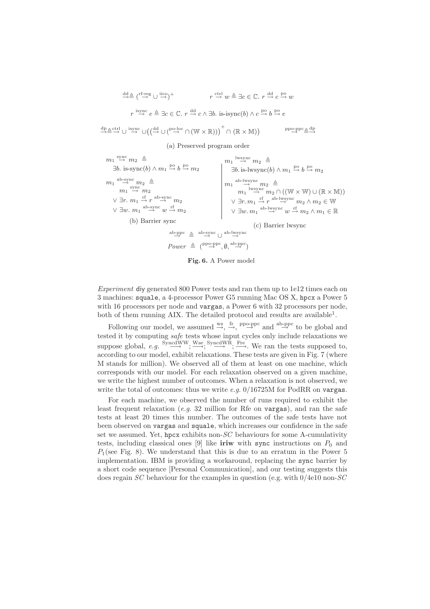$$
\stackrel{\text{dd}}{\rightarrow} \stackrel{\text{f-f-reg}}{\rightarrow} \cup \stackrel{\text{iso}}{\rightarrow}^+
$$
\n
$$
r \stackrel{\text{ctrl}}{\rightarrow} w \stackrel{\text{d}}{\rightarrow} \exists c \in \mathbb{C}. \ r \stackrel{\text{dd}}{\rightarrow} c \stackrel{\text{po}}{\rightarrow} w
$$
\n
$$
r \stackrel{\text{isync}}{\rightarrow} e \stackrel{\text{d}}{\rightarrow} \exists c \in \mathbb{C}. \ r \stackrel{\text{dd}}{\rightarrow} c \wedge \exists b. \text{ is-isync}(b) \wedge c \stackrel{\text{po}}{\rightarrow} b \stackrel{\text{po}}{\rightarrow} e
$$

 $\stackrel{\mathrm{dp}}{\rightarrow} \stackrel{\mathrm{ctrl}}{\rightarrow} \cup \stackrel{\mathrm{isync}}{\rightarrow} \cup (\stackrel{\mathrm{dd}}{\rightarrow} \cup (\stackrel{\mathrm{po-loc}}{\rightarrow} \cap (\mathbb{W} \times \mathbb{R})))^+ \cap (\mathbb{R} \times \mathbb{M})$  $\rangle \qquad \qquad \text{ppo-ppc} \underline{\triangle} \stackrel{\text{dp}}{\longrightarrow}$ 

(a) Preserved program order

$$
m_1 \stackrel{\text{sync}}{\rightarrow} m_2 \stackrel{\triangle}{=} 3b. \text{ is-sync}(b) \land m_1 \stackrel{\text{po}}{\rightarrow} b \stackrel{\text{po}}{\rightarrow} m_2
$$
\n
$$
m_1 \stackrel{\text{ab-sync}}{\rightarrow} m_2 \stackrel{\triangle}{=} 3b. \text{ is-lwsync}(b) \land m_1 \stackrel{\text{po}}{\rightarrow} b \stackrel{\text{po}}{\rightarrow} m_2
$$
\n
$$
m_1 \stackrel{\text{ab-sync}}{\rightarrow} m_2
$$
\n
$$
\lor \exists r. \ m_1 \stackrel{\text{rf}}{\rightarrow} r \stackrel{\text{ab-sync}}{\rightarrow} m_2
$$
\n
$$
\lor \exists w. \ m_1 \stackrel{\text{ab-sync}}{\rightarrow} w \stackrel{\text{rf}}{\rightarrow} m_2
$$
\n
$$
\lor \exists w. \ m_1 \stackrel{\text{ab-sync}}{\rightarrow} w \stackrel{\text{rf}}{\rightarrow} m_2
$$
\n
$$
\lor \exists w. \ m_1 \stackrel{\text{ab-sync}}{\rightarrow} w \stackrel{\text{rf}}{\rightarrow} m_2
$$
\n
$$
\lor \exists w. \ m_1 \stackrel{\text{ab-sync}}{\rightarrow} w \stackrel{\text{rf}}{\rightarrow} m_2
$$
\n
$$
\lor \exists w. \ m_1 \stackrel{\text{ab-sync}}{\rightarrow} w \stackrel{\text{rf}}{\rightarrow} m_2
$$
\n
$$
\lor \exists w. \ m_1 \stackrel{\text{ab-sync}}{\rightarrow} w \stackrel{\text{rf}}{\rightarrow} m_2
$$
\n(c) Barrier lwsync\n
$$
Power \stackrel{\text{ab-sync}}{\rightarrow} (\emptyset, \stackrel{\text{ab-prc}}{\rightarrow})
$$

Fig. 6. A Power model

Experiment diy generated 800 Power tests and ran them up to 1e12 times each on 3 machines: squale, a 4-processor Power G5 running Mac OS X, hpcx a Power 5 with 16 processors per node and vargas, a Power 6 with 32 processors per node, both of them running AIX. The detailed protocol and results are available<sup>1</sup>.

Following our model, we assumed  $\stackrel{ws}{\rightarrow}$ ,  $\stackrel{fp}{\rightarrow}$ ,  $\stackrel{ppo-ppc}{\rightarrow}$  and  $\stackrel{ab-ppc}{\rightarrow}$  to be global and tested it by computing safe tests whose input cycles only include relaxations we suppose global,  $e.g. \xrightarrow{\text{SyndWW}} \xrightarrow{\text{Wse}} \xrightarrow{\text{SyndWR}} \xrightarrow{\text{Fre}}$ . We ran the tests supposed to, according to our model, exhibit relaxations. These tests are given in Fig. 7 (where M stands for million). We observed all of them at least on one machine, which corresponds with our model. For each relaxation observed on a given machine, we write the highest number of outcomes. When a relaxation is not observed, we write the total of outcomes: thus we write  $e.g. 0/16725M$  for PodRR on vargas.

For each machine, we observed the number of runs required to exhibit the least frequent relaxation (e.g. 32 million for Rfe on vargas), and ran the safe tests at least 20 times this number. The outcomes of the safe tests have not been observed on vargas and squale, which increases our confidence in the safe set we assumed. Yet, hpcx exhibits non- $SC$  behaviours for some A-cumulativity tests, including classical ones [9] like iriw with sync instructions on  $P_0$  and  $P_1$ (see Fig. 8). We understand that this is due to an erratum in the Power 5 implementation. IBM is providing a workaround, replacing the sync barrier by a short code sequence [Personal Communication], and our testing suggests this does regain SC behaviour for the examples in question (e.g. with  $0/4e10$  non-SC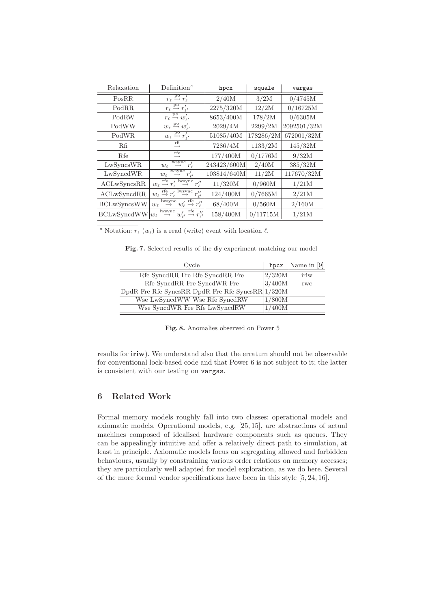| Relaxation             | Definition <sup><math>a</math></sup>                                                                                              | hpcx        | squale    | vargas      |  |
|------------------------|-----------------------------------------------------------------------------------------------------------------------------------|-------------|-----------|-------------|--|
| PosRR                  | $r_{\ell} \stackrel{\text{po}}{\rightarrow} r'_{\ell}$                                                                            | 2/40M       | 3/2M      | 0/4745M     |  |
| PodRR                  | $r_{\ell} \stackrel{\text{po}}{\rightarrow} r'_{\ell'}$                                                                           | 2275/320M   | 12/2M     | 0/16725M    |  |
| PodRW                  | $r_{\ell} \stackrel{\text{po}}{\rightarrow} w'_{\ell'}$                                                                           | 8653/400M   | 178/2M    | 0/6305M     |  |
| PodWW                  | $w_{\ell} \stackrel{\text{po}}{\rightarrow} w'_{\ell'}$                                                                           | 2029/4M     | 2299/2M   | 2092501/32M |  |
| PodWR                  | $w_{\ell} \stackrel{\text{po}}{\rightarrow} r'_{\ell'}$                                                                           | 51085/40M   | 178286/2M | 672001/32M  |  |
| Rfi                    | rfi<br>$\longrightarrow$                                                                                                          | 7286/4M     | 1133/2M   | 145/32M     |  |
| Rfe                    | rfe<br>→                                                                                                                          | 177/400M    | 0/1776M   | 9/32M       |  |
| LwSyncsWR              | $\frac{1}{\sqrt{2}}\frac{w_{\text{sync}}}{r_{\ell}}$<br>$w_{\ell}$                                                                | 243423/600M | 2/40M     | 385/32M     |  |
| LwSyncdWR              | $\frac{1}{\sqrt{\frac{N_{\rm{c}}}{\rho}}}$ $r'_{\ell'}$<br>$w_{\ell}$                                                             | 103814/640M | 11/2M     | 117670/32M  |  |
| ACLwSwnessRR           | $w_{\ell} \stackrel{\text{rfe}}{\rightarrow} r'_{\ell} \stackrel{\text{lwsync}}{\rightarrow}$<br>$r_{\scriptscriptstyle{\ell}}''$ | 11/320M     | 0/960M    | 1/21M       |  |
| ACLwSyncdRR            | $w_\ell \stackrel{\mathrm{rfe}}{\rightarrow} r'_\ell \stackrel{\mathrm{lwsync}}{\rightarrow}$<br>$^{\prime\prime}$<br>$r_{\nu'}$  | 124/400M    | 0/7665M   | 2/21M       |  |
| <b>BCLwSyncsWW</b>     | $\stackrel{\text{lwsync}}{\rightarrow} w'_{\ell} \stackrel{\text{rfe}}{\rightarrow} r''_{\ell}$<br>$w_{\ell}$                     | 68/400M     | 0/560M    | 2/160M      |  |
| $BCLwSyncdWW w_{\ell}$ | $\limsup_{\longrightarrow}^{\text{lwsync}} w'_{\ell'} \stackrel{\text{rfe}}{\longrightarrow} r''_{\ell'}$                         | 158/400M    | 0/11715M  | 1/21M       |  |

<sup>a</sup> Notation:  $r_{\ell}$  ( $w_{\ell}$ ) is a read (write) event with location  $\ell$ .

|  |  |  |  |  |  | Fig. 7. Selected results of the diy experiment matching our model |  |  |  |
|--|--|--|--|--|--|-------------------------------------------------------------------|--|--|--|
|--|--|--|--|--|--|-------------------------------------------------------------------|--|--|--|

| Cycle                                            |        | hpcx   Name in $[9]$ |  |
|--------------------------------------------------|--------|----------------------|--|
| Rfe SyncdRR Fre Rfe SyncdRR Fre                  | 2/320M | iriw                 |  |
| Rfe SyncdRR Fre SyncdWR Fre                      | 3/400M | <b>TWC</b>           |  |
| DpdR Fre Rfe SyncsRR DpdR Fre Rfe SyncsRR 1/320M |        |                      |  |
| Wse LwSyncdWW Wse Rfe SyncdRW                    | 1/800M |                      |  |
| Wse SyncdWR Fre Rfe LwSyncdRW                    | 1/400M |                      |  |

Fig. 8. Anomalies observed on Power 5

results for iriw). We understand also that the erratum should not be observable for conventional lock-based code and that Power 6 is not subject to it; the latter is consistent with our testing on vargas.

# 6 Related Work

Formal memory models roughly fall into two classes: operational models and axiomatic models. Operational models, e.g. [25, 15], are abstractions of actual machines composed of idealised hardware components such as queues. They can be appealingly intuitive and offer a relatively direct path to simulation, at least in principle. Axiomatic models focus on segregating allowed and forbidden behaviours, usually by constraining various order relations on memory accesses; they are particularly well adapted for model exploration, as we do here. Several of the more formal vendor specifications have been in this style [5, 24, 16].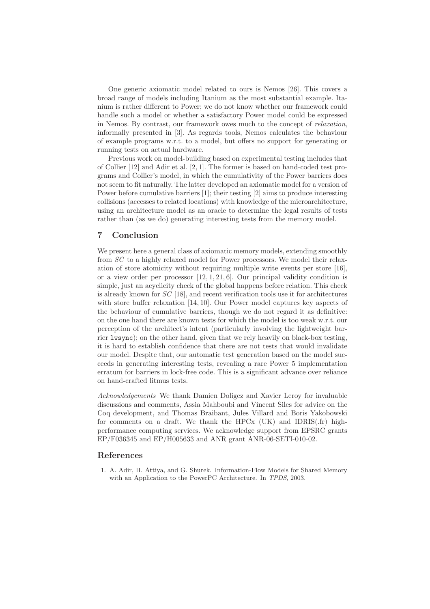One generic axiomatic model related to ours is Nemos [26]. This covers a broad range of models including Itanium as the most substantial example. Itanium is rather different to Power; we do not know whether our framework could handle such a model or whether a satisfactory Power model could be expressed in Nemos. By contrast, our framework owes much to the concept of relaxation, informally presented in [3]. As regards tools, Nemos calculates the behaviour of example programs w.r.t. to a model, but offers no support for generating or running tests on actual hardware.

Previous work on model-building based on experimental testing includes that of Collier [12] and Adir et al. [2, 1]. The former is based on hand-coded test programs and Collier's model, in which the cumulativity of the Power barriers does not seem to fit naturally. The latter developed an axiomatic model for a version of Power before cumulative barriers [1]; their testing [2] aims to produce interesting collisions (accesses to related locations) with knowledge of the microarchitecture, using an architecture model as an oracle to determine the legal results of tests rather than (as we do) generating interesting tests from the memory model.

## 7 Conclusion

We present here a general class of axiomatic memory models, extending smoothly from SC to a highly relaxed model for Power processors. We model their relaxation of store atomicity without requiring multiple write events per store [16], or a view order per processor  $[12, 1, 21, 6]$ . Our principal validity condition is simple, just an acyclicity check of the global happens before relation. This check is already known for  $SC$  [18], and recent verification tools use it for architectures with store buffer relaxation [14, 10]. Our Power model captures key aspects of the behaviour of cumulative barriers, though we do not regard it as definitive: on the one hand there are known tests for which the model is too weak w.r.t. our perception of the architect's intent (particularly involving the lightweight barrier lwsync); on the other hand, given that we rely heavily on black-box testing, it is hard to establish confidence that there are not tests that would invalidate our model. Despite that, our automatic test generation based on the model succeeds in generating interesting tests, revealing a rare Power 5 implementation erratum for barriers in lock-free code. This is a significant advance over reliance on hand-crafted litmus tests.

Acknowledgements We thank Damien Doligez and Xavier Leroy for invaluable discussions and comments, Assia Mahboubi and Vincent Siles for advice on the Coq development, and Thomas Braibant, Jules Villard and Boris Yakobowski for comments on a draft. We thank the HPCx (UK) and IDRIS(.fr) highperformance computing services. We acknowledge support from EPSRC grants EP/F036345 and EP/H005633 and ANR grant ANR-06-SETI-010-02.

### References

1. A. Adir, H. Attiya, and G. Shurek. Information-Flow Models for Shared Memory with an Application to the PowerPC Architecture. In TPDS, 2003.